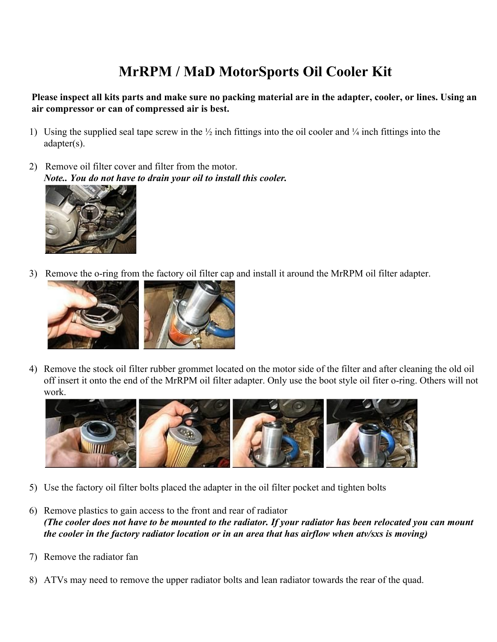## **MrRPM / MaD MotorSports Oil Cooler Kit**

**Please inspect all kits parts and make sure no packing material are in the adapter, cooler, or lines. Using an air compressor or can of compressed air is best.**

- 1) Using the supplied seal tape screw in the  $\frac{1}{2}$  inch fittings into the oil cooler and  $\frac{1}{4}$  inch fittings into the adapter(s).
- 2) Remove oil filter cover and filter from the motor. *Note.. You do not have to drain your oil to install this cooler.*



3) Remove the o-ring from the factory oil filter cap and install it around the MrRPM oil filter adapter.



4) Remove the stock oil filter rubber grommet located on the motor side of the filter and after cleaning the old oil off insert it onto the end of the MrRPM oil filter adapter. Only use the boot style oil fiter o-ring. Others will not work.



- 5) Use the factory oil filter bolts placed the adapter in the oil filter pocket and tighten bolts
- 6) Remove plastics to gain access to the front and rear of radiator *(The cooler does not have to be mounted to the radiator. If your radiator has been relocated you can mount the cooler in the factory radiator location or in an area that has airflow when atv/sxs is moving)*
- 7) Remove the radiator fan
- 8) ATVs may need to remove the upper radiator bolts and lean radiator towards the rear of the quad.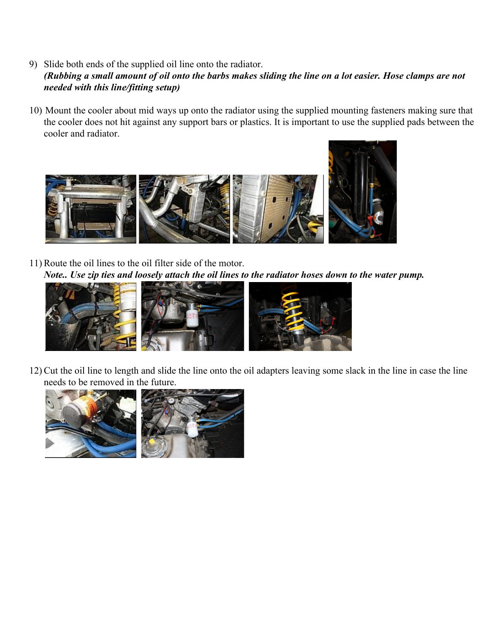- 9) Slide both ends of the supplied oil line onto the radiator. *(Rubbing a small amount of oil onto the barbs makes sliding the line on a lot easier. Hose clamps are not needed with this line/fitting setup)*
- 10) Mount the cooler about mid ways up onto the radiator using the supplied mounting fasteners making sure that the cooler does not hit against any support bars or plastics. It is important to use the supplied pads between the cooler and radiator.



11) Route the oil lines to the oil filter side of the motor. *Note.. Use zip ties and loosely attach the oil lines to the radiator hoses down to the water pump.*



12) Cut the oil line to length and slide the line onto the oil adapters leaving some slack in the line in case the line needs to be removed in the future.